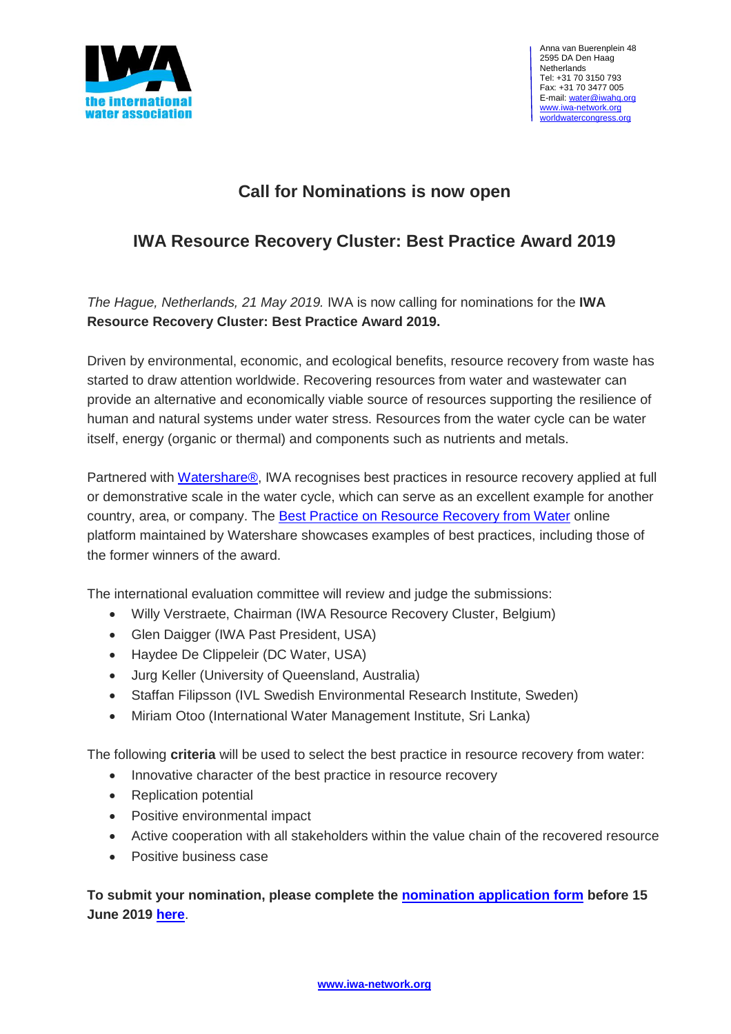

## **Call for Nominations is now open**

## **IWA Resource Recovery Cluster: Best Practice Award 2019**

*The Hague, Netherlands, 21 May 2019.* IWA is now calling for nominations for the **IWA Resource Recovery Cluster: Best Practice Award 2019.**

Driven by environmental, economic, and ecological benefits, resource recovery from waste has started to draw attention worldwide. Recovering resources from water and wastewater can provide an alternative and economically viable source of resources supporting the resilience of human and natural systems under water stress. Resources from the water cycle can be water itself, energy (organic or thermal) and components such as nutrients and metals.

Partnered with [Watershare®,](https://www.watershare.eu/) IWA recognises best practices in resource recovery applied at full or demonstrative scale in the water cycle, which can serve as an excellent example for another country, area, or company. The **Best Practice on [Resource](https://www.watershare.eu/projects/best-resources-from-water/) Recovery from Water** online platform maintained by Watershare showcases examples of best practices, including those of the former winners of the award.

The international evaluation committee will review and judge the submissions:

- Willy Verstraete, Chairman (IWA Resource Recovery Cluster, Belgium)
- Glen Daigger (IWA Past President, USA)
- Haydee De Clippeleir (DC Water, USA)
- Jurg Keller (University of Queensland, Australia)
- Staffan Filipsson (IVL Swedish Environmental Research Institute, Sweden)
- Miriam Otoo (International Water Management Institute, Sri Lanka)

The following **criteria** will be used to select the best practice in resource recovery from water:

- Innovative character of the best practice in resource recovery
- Replication potential
- Positive environmental impact
- Active cooperation with all stakeholders within the value chain of the recovered resource
- **•** Positive business case

**To submit your nomination, please complete the [nomination](https://www.surveymonkey.com/r/IWARRC2019) application form before 15 June 2019 [here](https://www.surveymonkey.com/r/IWARRC2019)**.